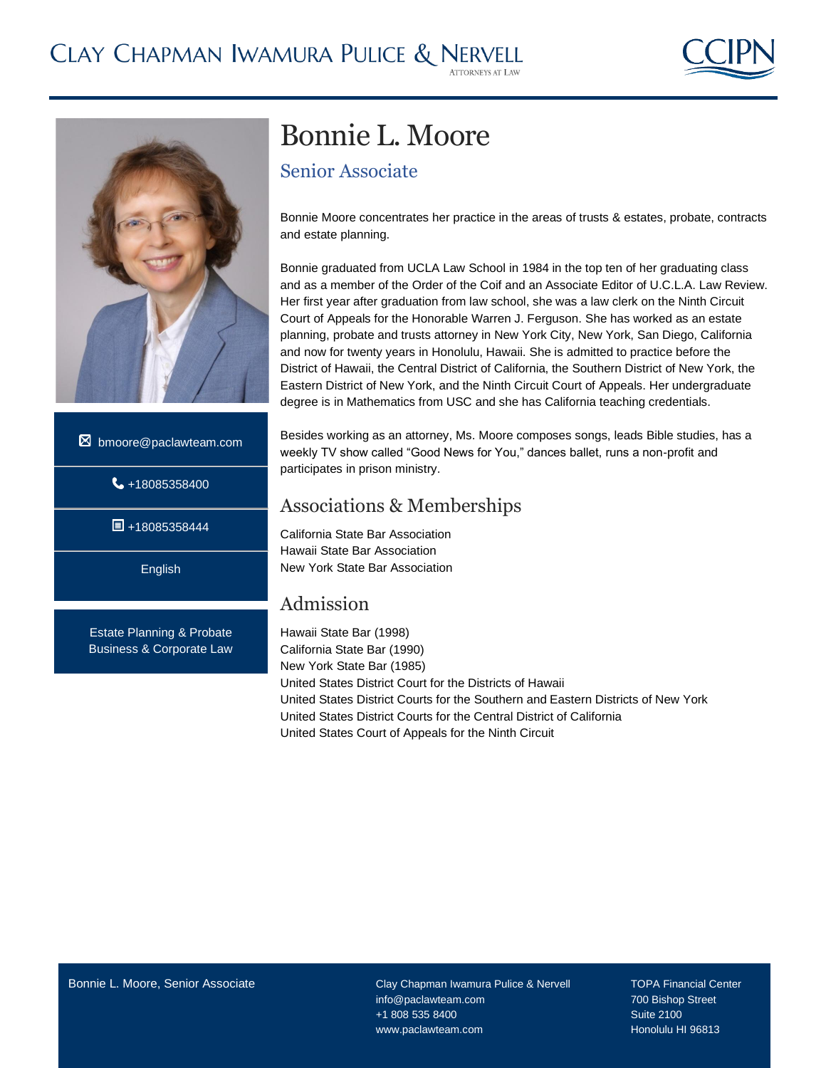



- $\boxtimes$  bmoore@paclawteam.com
	- $\bigcup$  +18085358400

 $\blacksquare$ +18085358444

English

Estate Planning & Probate Business & Corporate Law

# Bonnie L. Moore

Senior Associate

Bonnie Moore concentrates her practice in the areas of trusts & estates, probate, contracts and estate planning.

Bonnie graduated from UCLA Law School in 1984 in the top ten of her graduating class and as a member of the Order of the Coif and an Associate Editor of U.C.L.A. Law Review. Her first year after graduation from law school, she was a law clerk on the Ninth Circuit Court of Appeals for the Honorable Warren J. Ferguson. She has worked as an estate planning, probate and trusts attorney in New York City, New York, San Diego, California and now for twenty years in Honolulu, Hawaii. She is admitted to practice before the District of Hawaii, the Central District of California, the Southern District of New York, the Eastern District of New York, and the Ninth Circuit Court of Appeals. Her undergraduate degree is in Mathematics from USC and she has California teaching credentials.

Besides working as an attorney, Ms. Moore composes songs, leads Bible studies, has a weekly TV show called "Good News for You," dances ballet, runs a non-profit and participates in prison ministry.

### Associations & Memberships

California State Bar Association Hawaii State Bar Association New York State Bar Association

### Admission

Hawaii State Bar (1998) California State Bar (1990) New York State Bar (1985) United States District Court for the Districts of Hawaii United States District Courts for the Southern and Eastern Districts of New York United States District Courts for the Central District of California United States Court of Appeals for the Ninth Circuit

info@paclawteam.com 700 Bishop Street +1 808 535 8400 Suite 2100 www.paclawteam.com **Honolulu HI 96813**